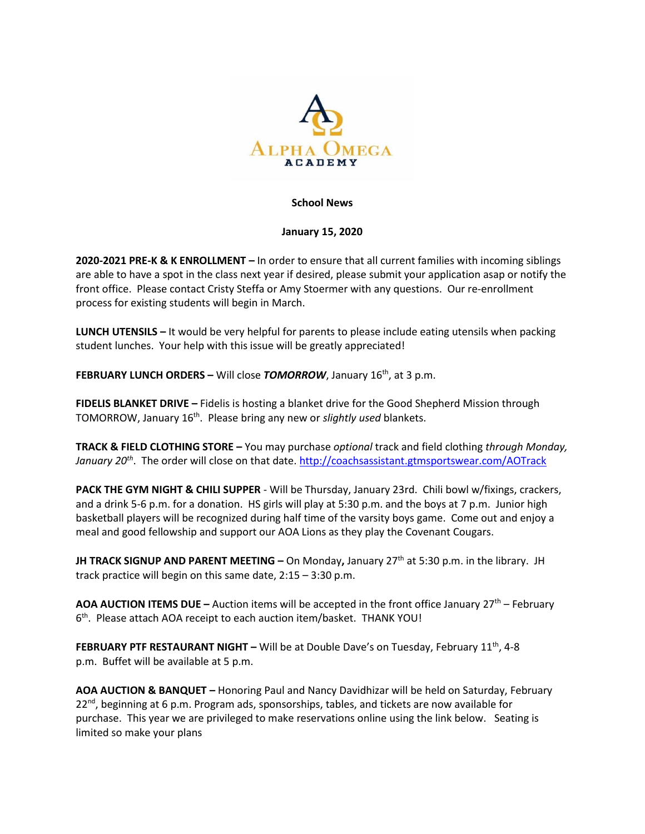

## **School News**

## **January 15, 2020**

**2020-2021 PRE-K & K ENROLLMENT –** In order to ensure that all current families with incoming siblings are able to have a spot in the class next year if desired, please submit your application asap or notify the front office. Please contact Cristy Steffa or Amy Stoermer with any questions. Our re-enrollment process for existing students will begin in March.

**LUNCH UTENSILS –** It would be very helpful for parents to please include eating utensils when packing student lunches. Your help with this issue will be greatly appreciated!

**FEBRUARY LUNCH ORDERS –** Will close **TOMORROW**, January 16<sup>th</sup>, at 3 p.m.

**FIDELIS BLANKET DRIVE –** Fidelis is hosting a blanket drive for the Good Shepherd Mission through TOMORROW, January 16<sup>th</sup>. Please bring any new or *slightly used* blankets.

**TRACK & FIELD CLOTHING STORE –** You may purchase *optional* track and field clothing *through Monday, January 20th* . The order will close on that date.<http://coachsassistant.gtmsportswear.com/AOTrack>

**PACK THE GYM NIGHT & CHILI SUPPER** - Will be Thursday, January 23rd. Chili bowl w/fixings, crackers, and a drink 5-6 p.m. for a donation. HS girls will play at 5:30 p.m. and the boys at 7 p.m. Junior high basketball players will be recognized during half time of the varsity boys game. Come out and enjoy a meal and good fellowship and support our AOA Lions as they play the Covenant Cougars.

**JH TRACK SIGNUP AND PARENT MEETING –** On Monday**,** January 27th at 5:30 p.m. in the library. JH track practice will begin on this same date, 2:15 – 3:30 p.m.

**AOA AUCTION ITEMS DUE –** Auction items will be accepted in the front office January 27<sup>th</sup> – February 6<sup>th</sup>. Please attach AOA receipt to each auction item/basket. THANK YOU!

**FEBRUARY PTF RESTAURANT NIGHT -** Will be at Double Dave's on Tuesday, February 11<sup>th</sup>, 4-8 p.m. Buffet will be available at 5 p.m.

**AOA AUCTION & BANQUET –** Honoring Paul and Nancy Davidhizar will be held on Saturday, February  $22^{\text{nd}}$ , beginning at 6 p.m. Program ads, sponsorships, tables, and tickets are now available for purchase. This year we are privileged to make reservations online using the link below. Seating is limited so make your plans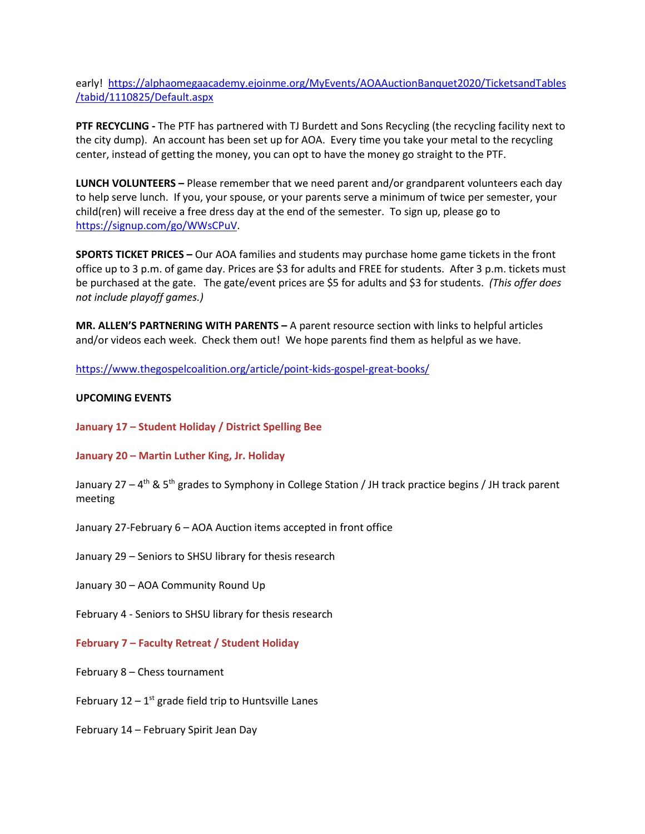early! [https://alphaomegaacademy.ejoinme.org/MyEvents/AOAAuctionBanquet2020/TicketsandTables](https://alphaomegaacademy.ejoinme.org/MyEvents/AOAAuctionBanquet2020/TicketsandTables/tabid/1110825/Default.aspx) [/tabid/1110825/Default.aspx](https://alphaomegaacademy.ejoinme.org/MyEvents/AOAAuctionBanquet2020/TicketsandTables/tabid/1110825/Default.aspx)

**PTF RECYCLING -** The PTF has partnered with TJ Burdett and Sons Recycling (the recycling facility next to the city dump). An account has been set up for AOA. Every time you take your metal to the recycling center, instead of getting the money, you can opt to have the money go straight to the PTF.

**LUNCH VOLUNTEERS –** Please remember that we need parent and/or grandparent volunteers each day to help serve lunch. If you, your spouse, or your parents serve a minimum of twice per semester, your child(ren) will receive a free dress day at the end of the semester. To sign up, please go to [https://signup.com/go/WWsCPuV.](https://signup.com/go/WWsCPuV)

**SPORTS TICKET PRICES –** Our AOA families and students may purchase home game tickets in the front office up to 3 p.m. of game day. Prices are \$3 for adults and FREE for students. After 3 p.m. tickets must be purchased at the gate. The gate/event prices are \$5 for adults and \$3 for students. *(This offer does not include playoff games.)*

**MR. ALLEN'S PARTNERING WITH PARENTS –** A parent resource section with links to helpful articles and/or videos each week. Check them out! We hope parents find them as helpful as we have.

<https://www.thegospelcoalition.org/article/point-kids-gospel-great-books/>

## **UPCOMING EVENTS**

**January 17 – Student Holiday / District Spelling Bee**

### **January 20 – Martin Luther King, Jr. Holiday**

January 27 – 4<sup>th</sup> & 5<sup>th</sup> grades to Symphony in College Station / JH track practice begins / JH track parent meeting

- January 27-February 6 AOA Auction items accepted in front office
- January 29 Seniors to SHSU library for thesis research
- January 30 AOA Community Round Up
- February 4 Seniors to SHSU library for thesis research
- **February 7 – Faculty Retreat / Student Holiday**
- February 8 Chess tournament
- February  $12 1$ <sup>st</sup> grade field trip to Huntsville Lanes
- February 14 February Spirit Jean Day